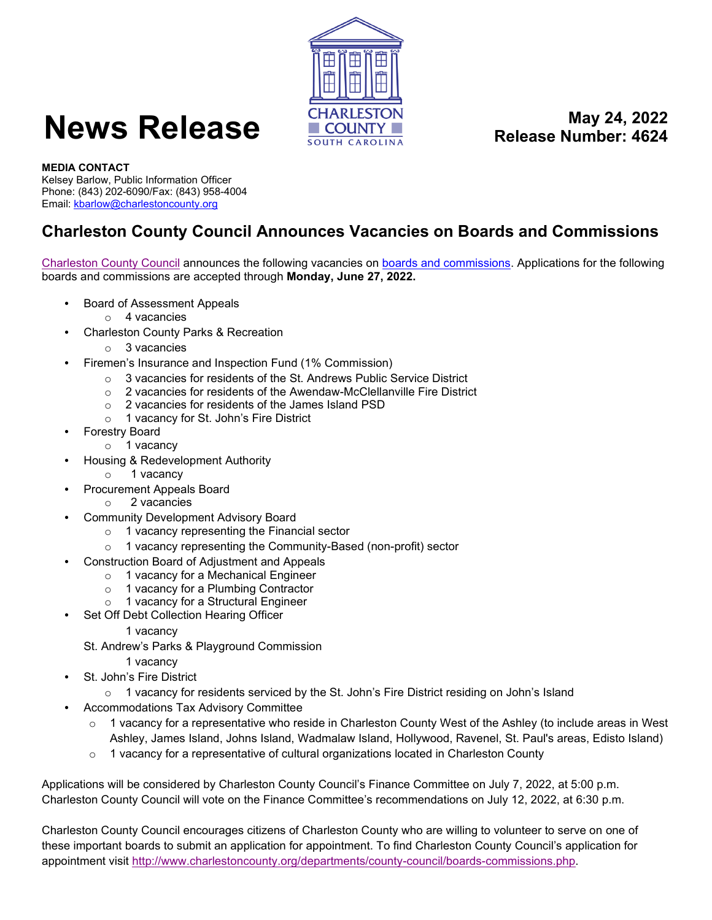

## **News Release May 24, 2022**<br>Release Number: 4624

**Release Number: 4624**

## **MEDIA CONTACT**

Kelsey Barlow, Public Information Officer Phone: (843) 202-6090/Fax: (843) 958-4004 Email[: kbarlow@charlestoncounty.org](mailto:kbarlow@charlestoncounty.org)

## **Charleston County Council Announces Vacancies on Boards and Commissions**

[Charleston County Council](http://www.charlestoncounty.org/) announces the following vacancies on [boards and commissions.](http://www.charlestoncounty.org/departments/county-council/boards-commissions.php) Applications for the following boards and commissions are accepted through **Monday, June 27, 2022.** 

- Board of Assessment Appeals
	- o 4 vacancies
- Charleston County Parks & Recreation
	- o 3 vacancies
- Firemen's Insurance and Inspection Fund (1% Commission)
	- o 3 vacancies for residents of the St. Andrews Public Service District o 2 vacancies for residents of the Awendaw-McClellanville Fire Distric
	- 2 vacancies for residents of the Awendaw-McClellanville Fire District
	- o 2 vacancies for residents of the James Island PSD
	- o 1 vacancy for St. John's Fire District
- Forestry Board
	- o 1 vacancy
- Housing & Redevelopment Authority
	- o 1 vacancy
	- Procurement Appeals Board
		- o 2 vacancies
- Community Development Advisory Board
	- o 1 vacancy representing the Financial sector
	- o 1 vacancy representing the Community-Based (non-profit) sector
- Construction Board of Adjustment and Appeals
	- o 1 vacancy for a Mechanical Engineer
	- o 1 vacancy for a Plumbing Contractor
	- o 1 vacancy for a Structural Engineer
	- Set Off Debt Collection Hearing Officer

## 1 vacancy

- St. Andrew's Parks & Playground Commission
	- 1 vacancy
- St. John's Fire District
	- $\circ$  1 vacancy for residents serviced by the St. John's Fire District residing on John's Island
- Accommodations Tax Advisory Committee
	- $\circ$  1 vacancy for a representative who reside in Charleston County West of the Ashley (to include areas in West Ashley, James Island, Johns Island, Wadmalaw Island, Hollywood, Ravenel, St. Paul's areas, Edisto Island)
	- $\circ$  1 vacancy for a representative of cultural organizations located in Charleston County

Applications will be considered by Charleston County Council's Finance Committee on July 7, 2022, at 5:00 p.m. Charleston County Council will vote on the Finance Committee's recommendations on July 12, 2022, at 6:30 p.m.

Charleston County Council encourages citizens of Charleston County who are willing to volunteer to serve on one of these important boards to submit an application for appointment. To find Charleston County Council's application for appointment visit [http://www.charlestoncounty.org/departments/county-council/boards-commissions.php.](http://www.charlestoncounty.org/departments/county-council/boards-commissions.php)